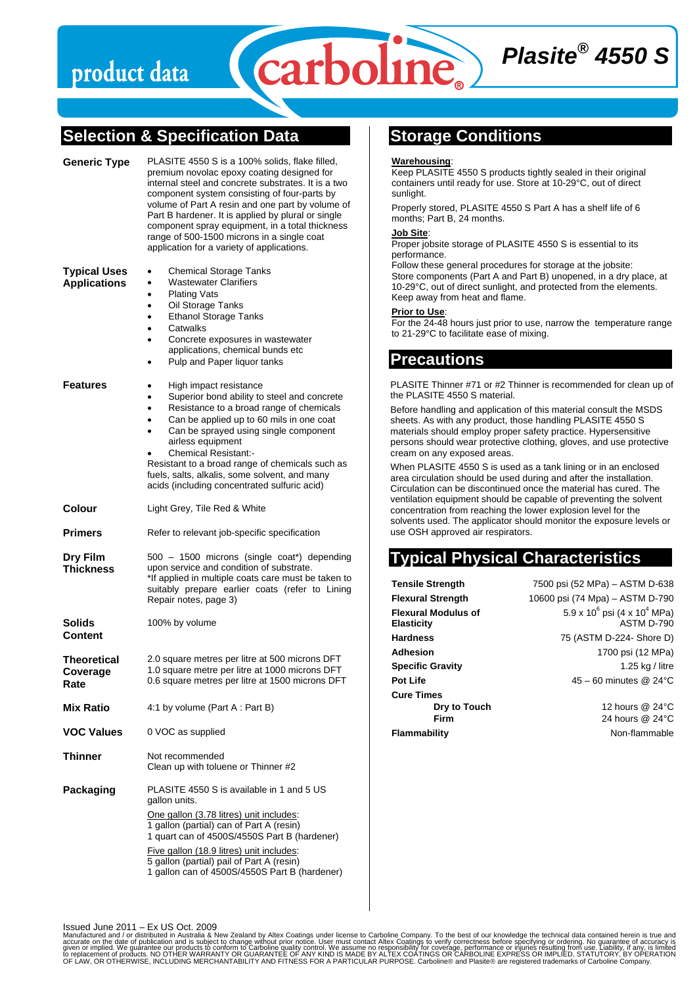# product data

# **Selection & Specification Data**

| Generic Type                               | PLASITE 4550 S is a 100% solids, flake filled,<br>premium novolac epoxy coating designed for<br>internal steel and concrete substrates. It is a two<br>component system consisting of four-parts by<br>volume of Part A resin and one part by volume of<br>Part B hardener. It is applied by plural or single<br>component spray equipment, in a total thickness<br>range of 500-1500 microns in a single coat<br>application for a variety of applications. |
|--------------------------------------------|--------------------------------------------------------------------------------------------------------------------------------------------------------------------------------------------------------------------------------------------------------------------------------------------------------------------------------------------------------------------------------------------------------------------------------------------------------------|
| <b>Typical Uses</b><br><b>Applications</b> | <b>Chemical Storage Tanks</b><br>$\bullet$<br><b>Wastewater Clarifiers</b><br><b>Plating Vats</b><br>$\bullet$<br>Oil Storage Tanks<br>٠<br><b>Ethanol Storage Tanks</b><br>$\bullet$<br>Catwalks<br>$\bullet$<br>Concrete exposures in wastewater<br>$\bullet$<br>applications, chemical bunds etc<br>Pulp and Paper liquor tanks                                                                                                                           |
| Features                                   | High impact resistance<br>Superior bond ability to steel and concrete<br>$\bullet$<br>Resistance to a broad range of chemicals<br>٠<br>Can be applied up to 60 mils in one coat<br>$\bullet$<br>Can be sprayed using single component<br>airless equipment<br><b>Chemical Resistant:-</b><br>Resistant to a broad range of chemicals such as<br>fuels, salts, alkalis, some solvent, and many<br>acids (including concentrated sulfuric acid)                |
| Colour                                     | Light Grey, Tile Red & White                                                                                                                                                                                                                                                                                                                                                                                                                                 |
| Primers                                    | Refer to relevant job-specific specification                                                                                                                                                                                                                                                                                                                                                                                                                 |
| Dry Film<br>Thickness                      | 500 - 1500 microns (single coat*) depending<br>upon service and condition of substrate.<br>*If applied in multiple coats care must be taken to<br>suitably prepare earlier coats (refer to Lining<br>Repair notes, page 3)                                                                                                                                                                                                                                   |
| Solids<br>Content                          | 100% by volume                                                                                                                                                                                                                                                                                                                                                                                                                                               |
| Theoretical<br>Coverage<br>Rate            | 2.0 square metres per litre at 500 microns DFT<br>1.0 square metre per litre at 1000 microns DFT<br>0.6 square metres per litre at 1500 microns DFT                                                                                                                                                                                                                                                                                                          |
| <b>Mix Ratio</b>                           | 4:1 by volume (Part A : Part B)                                                                                                                                                                                                                                                                                                                                                                                                                              |
| <b>VOC Values</b>                          | 0 VOC as supplied                                                                                                                                                                                                                                                                                                                                                                                                                                            |
| Thinner                                    | Not recommended<br>Clean up with toluene or Thinner #2                                                                                                                                                                                                                                                                                                                                                                                                       |
| Packaging                                  | PLASITE 4550 S is available in 1 and 5 US<br>gallon units.<br>One gallon (3.78 litres) unit includes:<br>1 gallon (partial) can of Part A (resin)<br>1 quart can of 4500S/4550S Part B (hardener)<br>Five gallon (18.9 litres) unit includes:<br>5 gallon (partial) pail of Part A (resin)<br>1 gallon can of 4500S/4550S Part B (hardener)                                                                                                                  |

**Storage Conditions** 

#### **Warehousing**:

carboline

Keep PLASITE 4550 S products tightly sealed in their original containers until ready for use. Store at 10-29°C, out of direct sunlight.

*Plasite® 4550 S* 

Properly stored, PLASITE 4550 S Part A has a shelf life of 6 months; Part B, 24 months.

#### **Job Site**:

Proper jobsite storage of PLASITE 4550 S is essential to its performance.

Follow these general procedures for storage at the jobsite: Store components (Part A and Part B) unopened, in a dry place, at 10-29°C, out of direct sunlight, and protected from the elements. Keep away from heat and flame.

#### **Prior to Use**:

For the 24-48 hours just prior to use, narrow the temperature range to 21-29°C to facilitate ease of mixing.

### **Precautions**

PLASITE Thinner #71 or #2 Thinner is recommended for clean up of the PLASITE 4550 S material.

Before handling and application of this material consult the MSDS sheets. As with any product, those handling PLASITE 4550 S materials should employ proper safety practice. Hypersensitive persons should wear protective clothing, gloves, and use protective cream on any exposed areas.

When PLASITE 4550 S is used as a tank lining or in an enclosed area circulation should be used during and after the installation. Circulation can be discontinued once the material has cured. The ventilation equipment should be capable of preventing the solvent concentration from reaching the lower explosion level for the solvents used. The applicator should monitor the exposure levels or use OSH approved air respirators.

# **Typical Physical Characteristics**

| <b>Tensile Strength</b>                         | 7500 psi (52 MPa) - ASTM D-638                                |
|-------------------------------------------------|---------------------------------------------------------------|
| <b>Flexural Strength</b>                        | 10600 psi (74 Mpa) – ASTM D-790                               |
| <b>Flexural Modulus of</b><br><b>Elasticity</b> | $5.9 \times 10^6$ psi (4 x 10 <sup>4</sup> MPa)<br>ASTM D-790 |
| <b>Hardness</b>                                 | 75 (ASTM D-224- Shore D)                                      |
| Adhesion                                        | 1700 psi (12 MPa)                                             |
| <b>Specific Gravity</b>                         | 1.25 kg / litre                                               |
| <b>Pot Life</b>                                 | $45 - 60$ minutes @ 24 $\degree$ C                            |
| <b>Cure Times</b>                               |                                                               |
| Dry to Touch                                    | 12 hours @ 24°C                                               |
| Firm                                            | 24 hours @ 24°C                                               |
| Flammability                                    | Non-flammable                                                 |

Issued June 2011 – Ex US Oct. 2009

Manufactured and / or distributed in Australia & New Zealand by Altex Coatings under license to Carboline Company. To the best of the best of publication and is subject to change without prior notice. User must contact alt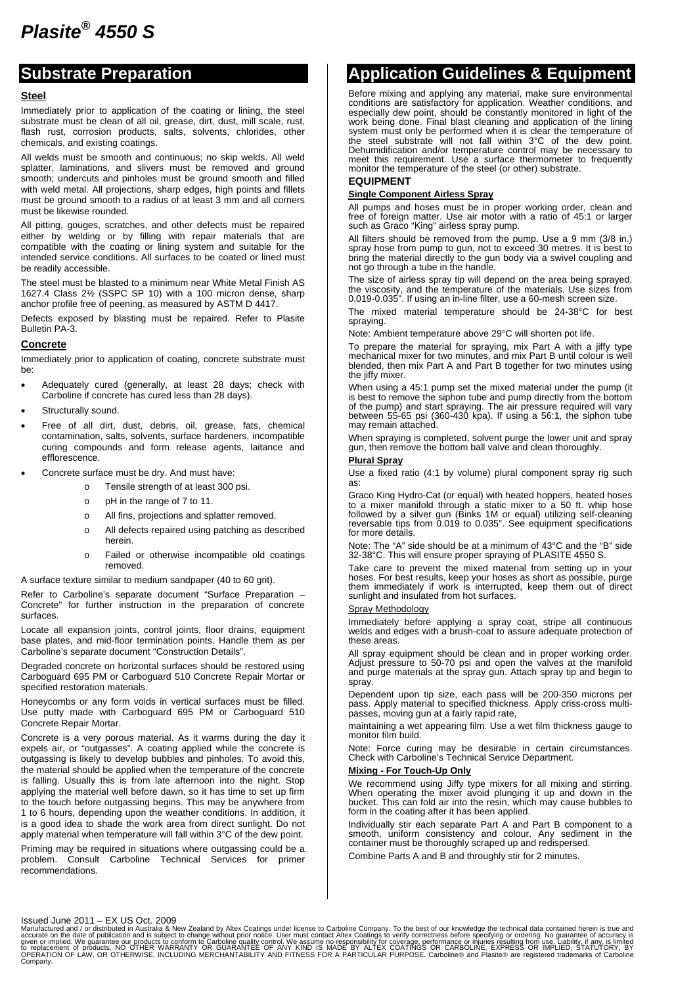### **Substrate Preparation**

#### **Steel**

Immediately prior to application of the coating or lining, the steel substrate must be clean of all oil, grease, dirt, dust, mill scale, rust, flash rust, corrosion products, salts, solvents, chlorides, other chemicals, and existing coatings.

All welds must be smooth and continuous; no skip welds. All weld splatter, laminations, and slivers must be removed and ground smooth; undercuts and pinholes must be ground smooth and filled with weld metal. All projections, sharp edges, high points and fillets must be ground smooth to a radius of at least 3 mm and all corners must be likewise rounded.

All pitting, gouges, scratches, and other defects must be repaired either by welding or by filling with repair materials that are compatible with the coating or lining system and suitable for the intended service conditions. All surfaces to be coated or lined must be readily accessible.

The steel must be blasted to a minimum near White Metal Finish AS 1627.4 Class 2½ (SSPC SP 10) with a 100 micron dense, sharp anchor profile free of peening, as measured by ASTM D 4417.

Defects exposed by blasting must be repaired. Refer to Plasite Bulletin PA-3.

#### **Concrete**

Immediately prior to application of coating, concrete substrate must be:

- Adequately cured (generally, at least 28 days; check with Carboline if concrete has cured less than 28 days).
- Structurally sound.
- Free of all dirt, dust, debris, oil, grease, fats, chemical contamination, salts, solvents, surface hardeners, incompatible curing compounds and form release agents, laitance and efflorescence.
- Concrete surface must be dry. And must have:
	- o Tensile strength of at least 300 psi.
	- o pH in the range of 7 to 11.
	- o All fins, projections and splatter removed.
	- o All defects repaired using patching as described herein.
	- o Failed or otherwise incompatible old coatings removed.

A surface texture similar to medium sandpaper (40 to 60 grit).

Refer to Carboline's separate document "Surface Preparation – Concrete" for further instruction in the preparation of concrete surfaces.

Locate all expansion joints, control joints, floor drains, equipment base plates, and mid-floor termination points. Handle them as per Carboline's separate document "Construction Details".

Degraded concrete on horizontal surfaces should be restored using Carboguard 695 PM or Carboguard 510 Concrete Repair Mortar or specified restoration materials.

Honeycombs or any form voids in vertical surfaces must be filled. Use putty made with Carboguard 695 PM or Carboguard 510 Concrete Repair Mortar.

Concrete is a very porous material. As it warms during the day it expels air, or "outgasses". A coating applied while the concrete is outgassing is likely to develop bubbles and pinholes. To avoid this, the material should be applied when the temperature of the concrete is falling. Usually this is from late afternoon into the night. Stop applying the material well before dawn, so it has time to set up firm to the touch before outgassing begins. This may be anywhere from 1 to 6 hours, depending upon the weather conditions. In addition, it is a good idea to shade the work area from direct sunlight. Do not apply material when temperature will fall within 3°C of the dew point.

Priming may be required in situations where outgassing could be a problem. Consult Carboline Technical Services for primer recommendations.

## **Application Guidelines & Equipment**

Before mixing and applying any material, make sure environmental conditions are satisfactory for application. Weather conditions, and especially dew point, should be constantly monitored in light of the work being done. Final blast cleaning and application of the lining system must only be performed when it is clear the temperature of the steel substrate will not fall within 3°C of the dew point. Dehumidification and/or temperature control may be necessary to meet this requirement. Use a surface thermometer to frequently monitor the temperature of the steel (or other) substrate.

#### **EQUIPMENT**

#### **Single Component Airless Spray**

All pumps and hoses must be in proper working order, clean and free of foreign matter. Use air motor with a ratio of 45:1 or larger such as Graco "King" airless spray pump.

All filters should be removed from the pump. Use a 9 mm (3/8 in.) spray hose from pump to gun, not to exceed 30 metres. It is best to bring the material directly to the gun body via a swivel coupling and not go through a tube in the handle.

The size of airless spray tip will depend on the area being sprayed, the viscosity, and the temperature of the materials. Use sizes from 0.019-0.035". If using an in-line filter, use a 60-mesh screen size.

The mixed material temperature should be 24-38°C for best spraying.

Note: Ambient temperature above 29°C will shorten pot life.

To prepare the material for spraying, mix Part A with a jiffy type mechanical mixer for two minutes, and mix Part B until colour is well blended, then mix Part A and Part B together for two minutes using the jiffy mixer.

When using a 45:1 pump set the mixed material under the pump (it is best to remove the siphon tube and pump directly from the bottom of the pump) and start spraying. The air pressure required will vary between 55-65 psi (360-430 kpa). If using a 56:1, the siphon tube may remain attached.

When spraying is completed, solvent purge the lower unit and spray gun, then remove the bottom ball valve and clean thoroughly.

#### **Plural Spray**

Use a fixed ratio (4:1 by volume) plural component spray rig such as:

Graco King Hydro-Cat (or equal) with heated hoppers, heated hoses to a mixer manifold through a static mixer to a 50 ft. whip hose followed by a silver gun (Binks 1M or equal) utilizing self-cleaning reversable tips from 0.019 to 0.035". See equipment specifications for more details.

Note: The "A" side should be at a minimum of 43°C and the "B" side 32-38°C. This will ensure proper spraying of PLASITE 4550 S.

Take care to prevent the mixed material from setting up in your hoses. For best results, keep your hoses as short as possible, purge them immediately if work is interrupted, keep them out of direct sunlight and insulated from hot surfaces.

#### Spray Methodology

Immediately before applying a spray coat, stripe all continuous welds and edges with a brush-coat to assure adequate protection of these areas.

All spray equipment should be clean and in proper working order. Adjust pressure to 50-70 psi and open the valves at the manifold and purge materials at the spray gun. Attach spray tip and begin to spray.

Dependent upon tip size, each pass will be 200-350 microns per pass. Apply material to specified thickness. Apply criss-cross multipasses, moving gun at a fairly rapid rate,

maintaining a wet appearing film. Use a wet film thickness gauge to monitor film build.

Note: Force curing may be desirable in certain circumstances. Check with Carboline's Technical Service Department.

#### **Mixing - For Touch-Up Only**

We recommend using Jiffy type mixers for all mixing and stirring. When operating the mixer avoid plunging it up and down in the bucket. This can fold air into the resin, which may cause bubbles to form in the coating after it has been applied.

Individually stir each separate Part A and Part B component to a smooth, uniform consistency and colour. Any sediment in the container must be thoroughly scraped up and redispersed.

Combine Parts A and B and throughly stir for 2 minutes.

Issued June 2011 – EX US Oct. 2009

Manufactured and / or distributed in Australia & New Zealand by Altex Coatings under license to Carboline Company. To the best of our knowledge the technical data contained herein is true and<br>given or implied. We guarantee OPERATION OF LAW, OR OTHERWISE, INCLUDING MERCHANTABILITY AND FITNESS FOR A PARTICULAR PURPOSE. Carboline® and Plasite® are registered trademarks of Carboline<br>Company.